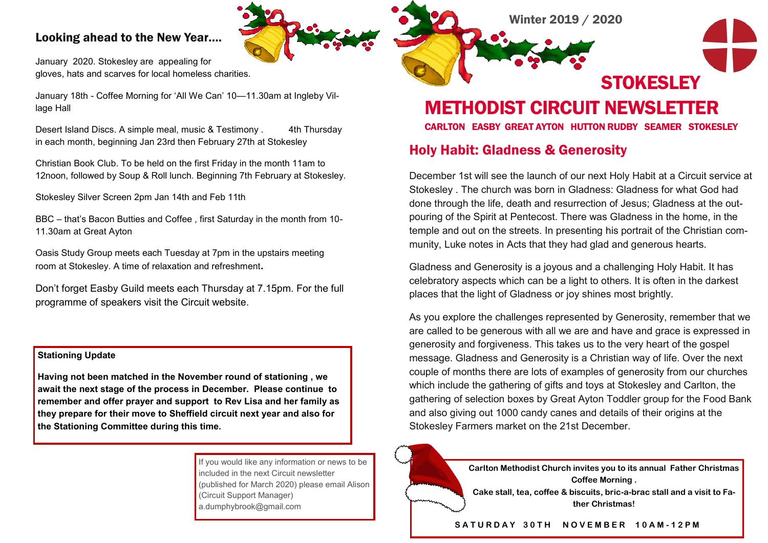### Looking ahead to the New Year….

January 2020. Stokesley are appealing for gloves, hats and scarves for local homeless charities.

January 18th - Coffee Morning for 'All We Can' 10—11.30am at Ingleby Village Hall

Desert Island Discs. A simple meal, music & Testimony . 4th Thursday in each month, beginning Jan 23rd then February 27th at Stokesley

Christian Book Club. To be held on the first Friday in the month 11am to 12noon, followed by Soup & Roll lunch. Beginning 7th February at Stokesley.

Stokesley Silver Screen 2pm Jan 14th and Feb 11th

BBC – that's Bacon Butties and Coffee , first Saturday in the month from 10- 11.30am at Great Ayton

Oasis Study Group meets each Tuesday at 7pm in the upstairs meeting room at Stokesley. A time of relaxation and refreshment**.**

Don't forget Easby Guild meets each Thursday at 7.15pm. For the full programme of speakers visit the Circuit website.

#### **Stationing Update**

**Having not been matched in the November round of stationing , we await the next stage of the process in December. Please continue to remember and offer prayer and support to Rev Lisa and her family as they prepare for their move to Sheffield circuit next year and also for the Stationing Committee during this time.** 

> If you would like any information or news to be included in the next Circuit newsletter (published for March 2020) please email Alison (Circuit Support Manager) a.dumphybrook@gmail.com



METHODIST CIRCUIT NEWSLETTER

CARLTON EASBY GREAT AYTON HUTTON RUDBY SEAMER STOKESLEY

# Holy Habit: Gladness & Generosity

December 1st will see the launch of our next Holy Habit at a Circuit service at Stokesley . The church was born in Gladness: Gladness for what God had done through the life, death and resurrection of Jesus; Gladness at the outpouring of the Spirit at Pentecost. There was Gladness in the home, in the temple and out on the streets. In presenting his portrait of the Christian community, Luke notes in Acts that they had glad and generous hearts.

Gladness and Generosity is a joyous and a challenging Holy Habit. It has celebratory aspects which can be a light to others. It is often in the darkest places that the light of Gladness or joy shines most brightly.

As you explore the challenges represented by Generosity, remember that we are called to be generous with all we are and have and grace is expressed in generosity and forgiveness. This takes us to the very heart of the gospel message. Gladness and Generosity is a Christian way of life. Over the next couple of months there are lots of examples of generosity from our churches which include the gathering of gifts and toys at Stokesley and Carlton, the gathering of selection boxes by Great Ayton Toddler group for the Food Bank and also giving out 1000 candy canes and details of their origins at the Stokesley Farmers market on the 21st December.



#### **S A T U R D A Y 3 0 T H N O V E M B E R 1 0 A M - 1 2 P M**